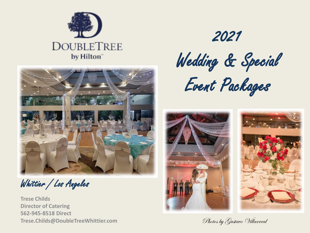



Whittier / Los Angeles

**Trese Childs Director of Catering 562-945-8518 Direct Trese.Childs@DoubleTreeWhittier.com** Photos by Gustave Willarreal

2021 Wedding & Special Event Packages

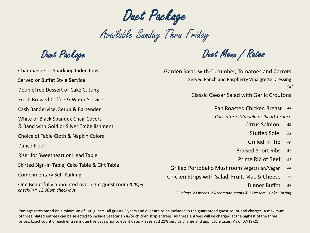Duet Package

Available Sunday Thru Friday

Duet Package

Champagne or Sparkling Cider Toast Served or Buffet Style Service DoubleTree Dessert or Cake Cutting Fresh Brewed Coffee & Water Service Cash Bar Service, Setup & Bartender White or Black Spandex Chair Covers & Band with Gold or Silver Embellishment Choice of Table Cloth & Napkin Colors Dance Floor Riser for Sweetheart or Head Table Skirted Sign-In Table, Cake Table & Gift Table Complimentary Self-Parking One Beautifully appointed overnight guest room *3:00pm check-in ~ 12:00pm check-out*

Duet Menu / Rates

Garden Salad with Cucumber, Tomatoes and Carrots Served Ranch and Raspberry Vinaigrette Dressing OR

Classic Caesar Salad with Garlic Croutons

Pan Roasted Chicken Breast 44 *Cacciatore, Marsala or Picatta Sauce*

Citrus Salmon 50

- Stuffed Sole 52
- Grilled Tri Tip 48
- Braised Short Ribs 54
- Prime Rib of Beef 51
- Grilled Portobello Mushroom Vegetarian/Vegan 44
- Chicken Strips with Salad, Fruit, Mac & Cheese 44
	- Dinner Buffet 54

*2 Salads, 2 Entrees, 2 Accompaniments & 1 Dessert + Cake Cutting*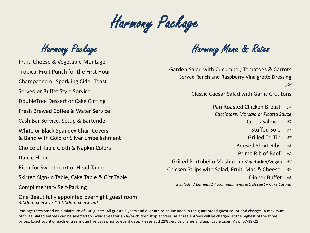Harmony Package

Harmony Package

Fruit, Cheese & Vegetable Montage Tropical Fruit Punch for the First Hour Champagne or Sparkling Cider Toast Served or Buffet Style Service DoubleTree Dessert or Cake Cutting Fresh Brewed Coffee & Water Service Cash Bar Service, Setup & Bartender White or Black Spandex Chair Covers & Band with Gold or Silver Embellishment Choice of Table Cloth & Napkin Colors Dance Floor Riser for Sweetheart or Head Table Skirted Sign-In Table, Cake Table & Gift Table

Complimentary Self-Parking

One Beautifully appointed overnight guest room *3:00pm check-in ~ 12:00pm check-out*

Harmony Menu & Rates

Garden Salad with Cucumber, Tomatoes & Carrots Served Ranch and Raspberry Vinaigrette Dressing OR

Classic Caesar Salad with Garlic Croutons

Pan Roasted Chicken Breast 54 *Cacciatore, Marsala or Picatta Sauce*

Citrus Salmon 59

Stuffed Sole  $61$ 

- Grilled Tri Tip 57
- Braised Short Ribs  $63$
- Prime Rib of Beef  $\frac{60}{2}$

Grilled Portobello Mushroom Vegetarian/Vegan 54

Chicken Strips with Salad, Fruit, Mac & Cheese  $54$ 

Dinner Buffet 63

*2 Salads, 2 Entrees, 2 Accompaniments & 1 Dessert + Cake Cutting*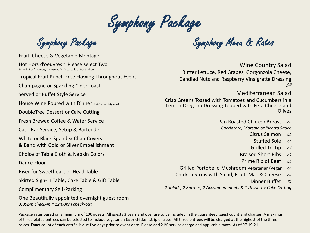Symphony Package

Fruit, Cheese & Vegetable Montage

Hot Hors d'oeuvres ~ Please select Two Teriyaki Beef Skewers, Cheese Puffs, Meatballs or Pot Stickers

Tropical Fruit Punch Free Flowing Throughout Event

Champagne or Sparkling Cider Toast

Served or Buffet Style Service

House Wine Poured with Dinner *(2 Bottles per 10 guests)*

DoubleTree Dessert or Cake Cutting

Fresh Brewed Coffee & Water Service

Cash Bar Service, Setup & Bartender

White or Black Spandex Chair Covers

& Band with Gold or Silver Embellishment

Choice of Table Cloth & Napkin Colors

Dance Floor

Riser for Sweetheart or Head Table

Skirted Sign-In Table, Cake Table & Gift Table

Complimentary Self-Parking

One Beautifully appointed overnight guest room *3:00pm check-in ~ 12:00pm check-out*

Symphony Package Symphony Menu & Rates

Wine Country Salad

Butter Lettuce, Red Grapes, Gorgonzola Cheese, Candied Nuts and Raspberry Vinaigrette Dressing OR

### Mediterranean Salad

Crisp Greens Tossed with Tomatoes and Cucumbers in a Lemon Oregano Dressing Topped with Feta Cheese and Olives

> Pan Roasted Chicken Breast 60 *Cacciatore, Marsala or Picatta Sauce*

- Citrus Salmon  $65$ 
	- Stuffed Sole  $68$
- Grilled Tri Tip 64
- Braised Short Ribs 69
- Prime Rib of Beef  $66$
- Grilled Portobello Mushroom Vegetarian/Vegan 60
- Chicken Strips with Salad, Fruit, Mac & Cheese  $\frac{60}{2}$ 
	- Dinner Buffet 70

*2 Salads, 2 Entrees, 2 Accompaniments & 1 Dessert + Cake Cutting*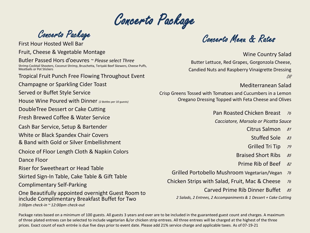Concerto Package

Fruit, Cheese & Vegetable Montage Butler Passed Hors d'oeuvres *~ Please select Three* Shrimp Cocktail Shooters, Coconut Shrimp, Bruschetta, Teriyaki Beef Skewers, Cheese Puffs, Meatballs or Pot Stickers Tropical Fruit Punch Free Flowing Throughout Event Champagne or Sparkling Cider Toast Served or Buffet Style Service House Wine Poured with Dinner *(2 Bottles per 10 guests)* DoubleTree Dessert or Cake Cutting Fresh Brewed Coffee & Water Service Cash Bar Service, Setup & Bartender White or Black Spandex Chair Covers & Band with Gold or Silver Embellishment Choice of Floor Length Cloth & Napkin Colors Dance Floor Riser for Sweetheart or Head Table Skirted Sign-In Table, Cake Table & Gift Table Complimentary Self-Parking One Beautifully appointed overnight Guest Room to include Complimentary Breakfast Buffet for Two *3:00pm check-in ~ 12:00pm check-out*

Concerto Package<br>First Hour Hosted Well Bar

Wine Country Salad Butter Lettuce, Red Grapes, Gorgonzola Cheese, Candied Nuts and Raspberry Vinaigrette Dressing OR

### Mediterranean Salad

Crisp Greens Tossed with Tomatoes and Cucumbers in a Lemon Oregano Dressing Topped with Feta Cheese and Olives

Pan Roasted Chicken Breast 76

*Cacciatore, Marsala or Picatta Sauce*

- Citrus Salmon 81
	- Stuffed Sole  $83$
- Grilled Tri Tip 79
- Braised Short Ribs 85
- Prime Rib of Beef  $82$
- Grilled Portobello Mushroom Vegetarian/Vegan 76
- Chicken Strips with Salad, Fruit, Mac & Cheese 76
	- Carved Prime Rib Dinner Buffet  $85$

*2 Salads, 2 Entrees, 2 Accompaniments & 1 Dessert + Cake Cutting*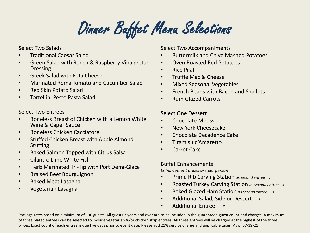Dinner Buffet Menu Selections

Select Two Salads

- Traditional Caesar Salad
- Green Salad with Ranch & Raspberry Vinaigrette Dressing
- Greek Salad with Feta Cheese
- Marinated Roma Tomato and Cucumber Salad
- Red Skin Potato Salad
- Tortellini Pesto Pasta Salad

Select Two Entrees

- Boneless Breast of Chicken with a Lemon White Wine & Caper Sauce
- Boneless Chicken Cacciatore
- Stuffed Chicken Breast with Apple Almond **Stuffing**
- Baked Salmon Topped with Citrus Salsa
- Cilantro Lime White Fish
- Herb Marinated Tri-Tip with Port Demi-Glace
- Braised Beef Bourguignon
- Baked Meat Lasagna
- Vegetarian Lasagna

Select Two Accompaniments

- Buttermilk and Chive Mashed Potatoes
- Oven Roasted Red Potatoes
- Rice Pilaf
- Truffle Mac & Cheese
- Mixed Seasonal Vegetables
- French Beans with Bacon and Shallots
- Rum Glazed Carrots

Select One Dessert

- Chocolate Mousse
- New York Cheesecake
- Chocolate Decadence Cake
- Tiramisu d'Amaretto
- Carrot Cake

Buffet Enhancements

*Enhancement prices are per person*

- Prime Rib Carving Station *as second entree* 6
- Roasted Turkey Carving Station *as second entree* 6
- Baked Glazed Ham Station *as second entree* 4
- Additional Salad, Side or Dessert  $4$
- Additional Entree 7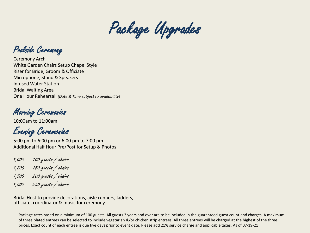

Poolside Ceremony

Ceremony Arch White Garden Chairs Setup Chapel Style Riser for Bride, Groom & Officiate Microphone, Stand & Speakers Infused Water Station Bridal Waiting Area One Hour Rehearsal *(Date & Time subject to availability)*

Morning Ceremonies

10:00am to 11:00am

Evening Ceremonies

5:00 pm to 6:00 pm or 6:00 pm to 7:00 pm Additional Half Hour Pre/Post for Setup & Photos

1,000 100 guests / chairs

- 1,200 150 guests / chairs
- 1,500 200 guests / chairs
- 1,800 250 guests / chairs

Bridal Host to provide decorations, aisle runners, ladders, officiate, coordinator & music for ceremony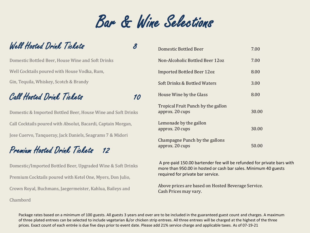# Bar & Wine Selections

## Well Hosted Drink Tickets 8

Domestic Bottled Beer, House Wine and Soft Drinks Well Cocktails poured with House Vodka, Rum, Gin, Tequila, Whiskey, Scotch & Brandy

# Call Hosted Drink Tickets 10

Domestic & Imported Bottled Beer, House Wine and Soft Drinks Call Cocktails poured with Absolut, Bacardi, Captain Morgan, Jose Cuervo, Tanqueray, Jack Daniels, Seagrams 7 & Midori

# Premium Hosted Drink Tickets 12

Domestic/Imported Bottled Beer, Upgraded Wine & Soft Drinks Premium Cocktails poured with Ketel One, Myers, Don Julio, Crown Royal, Buchmans, Jaegermeister, Kahlua, Baileys and Chambord

| Domestic Bottled Beer                                 | 7.00  |
|-------------------------------------------------------|-------|
| Non-Alcoholic Bottled Beer 12oz                       | 7.00  |
| Imported Bottled Beer 12oz                            | 8.00  |
| Soft Drinks & Bottled Waters                          | 3.00  |
| House Wine by the Glass                               | 8.00  |
| Tropical Fruit Punch by the gallon<br>approx. 20 cups | 30.00 |
| Lemonade by the gallon<br>approx. 20 cups             | 30.00 |
| Champagne Punch by the gallons<br>approx. 20 cups     | 50.00 |

A pre-paid 150.00 bartender fee will be refunded for private bars with more than 950.00 in hosted or cash bar sales. Minimum 40 guests required for private bar service.

Above prices are based on Hosted Beverage Service. Cash Prices may vary.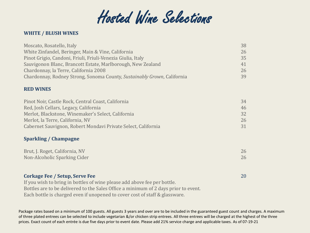

#### **WHITE / BLUSH WINES**

| Moscato, Rosatello, Italy                                                | 38 |
|--------------------------------------------------------------------------|----|
| White Zinfandel, Beringer, Main & Vine, California                       | 26 |
| Pinot Grigio, Candoni, Friuli, Friuli-Venezia Giulia, Italy              | 35 |
| Sauvigonon Blanc, Brancott Estate, Marlborough, New Zealand              | 41 |
| Chardonnay, la Terre, California 2008                                    | 26 |
| Chardonnay, Rodney Strong, Sonoma County, Sustainably Grown, California  | 39 |
| <b>RED WINES</b>                                                         |    |
| Pinot Noir, Castle Rock, Central Coast, California                       | 34 |
| Red, Josh Cellars, Legacy, California                                    | 46 |
| Merlot, Blackstone, Winemaker's Select, California                       | 32 |
| Merlot, la Terre, California, NV                                         | 26 |
| Cabernet Sauvignon, Robert Mondavi Private Select, California            | 31 |
| <b>Sparkling / Champagne</b>                                             |    |
| Brut, J. Roget, California, NV                                           | 26 |
| Non-Alcoholic Sparking Cider                                             | 26 |
|                                                                          |    |
| <b>Corkage Fee / Setup, Serve Fee</b>                                    | 20 |
| If you wish to bring in bottles of wine please add above fee per bottle. |    |

Bottles are to be delivered to the Sales Office a minimum of 2 days prior to event.

Each bottle is charged even if unopened to cover cost of staff & glassware.